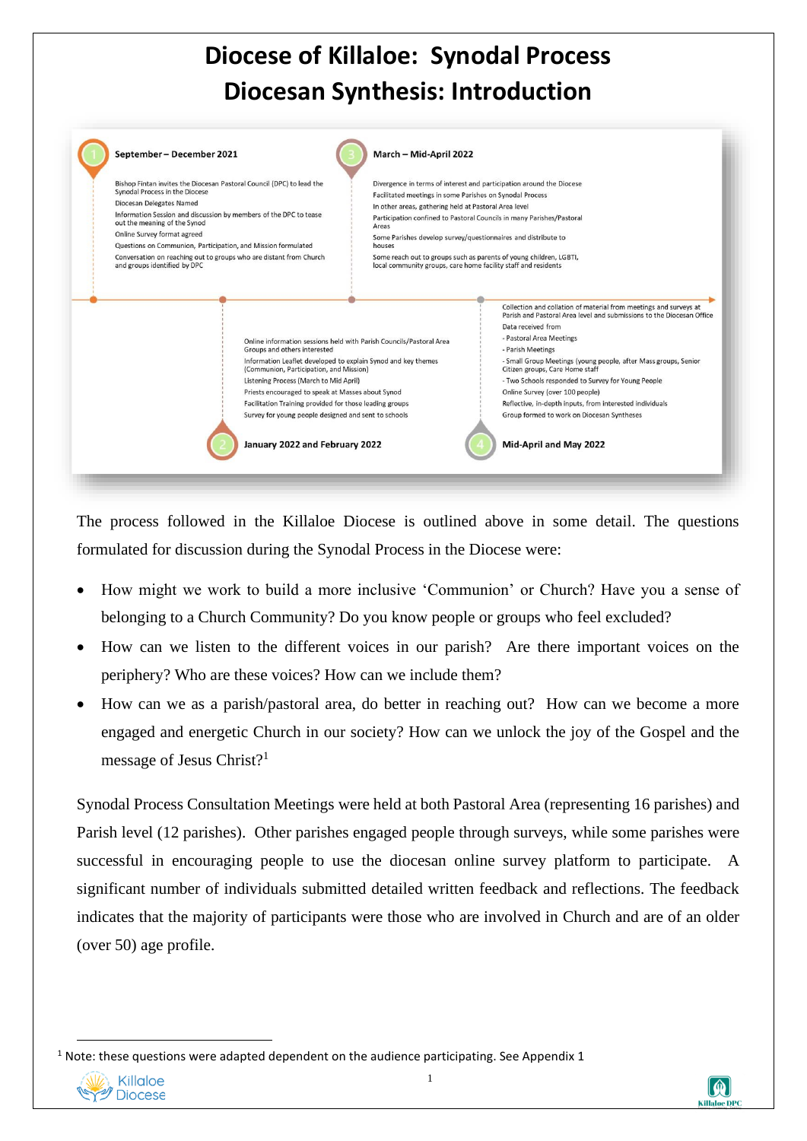## **Diocese of Killaloe: Synodal Process Diocesan Synthesis: Introduction**



The process followed in the Killaloe Diocese is outlined above in some detail. The questions formulated for discussion during the Synodal Process in the Diocese were:

- How might we work to build a more inclusive 'Communion' or Church? Have you a sense of belonging to a Church Community? Do you know people or groups who feel excluded?
- How can we listen to the different voices in our parish? Are there important voices on the periphery? Who are these voices? How can we include them?
- How can we as a parish/pastoral area, do better in reaching out? How can we become a more engaged and energetic Church in our society? How can we unlock the joy of the Gospel and the message of Jesus Christ?<sup>1</sup>

Synodal Process Consultation Meetings were held at both Pastoral Area (representing 16 parishes) and Parish level (12 parishes). Other parishes engaged people through surveys, while some parishes were successful in encouraging people to use the diocesan online survey platform to participate. A significant number of individuals submitted detailed written feedback and reflections. The feedback indicates that the majority of participants were those who are involved in Church and are of an older (over 50) age profile.

 $1$  Note: these questions were adapted dependent on the audience participating. See Appendix 1



1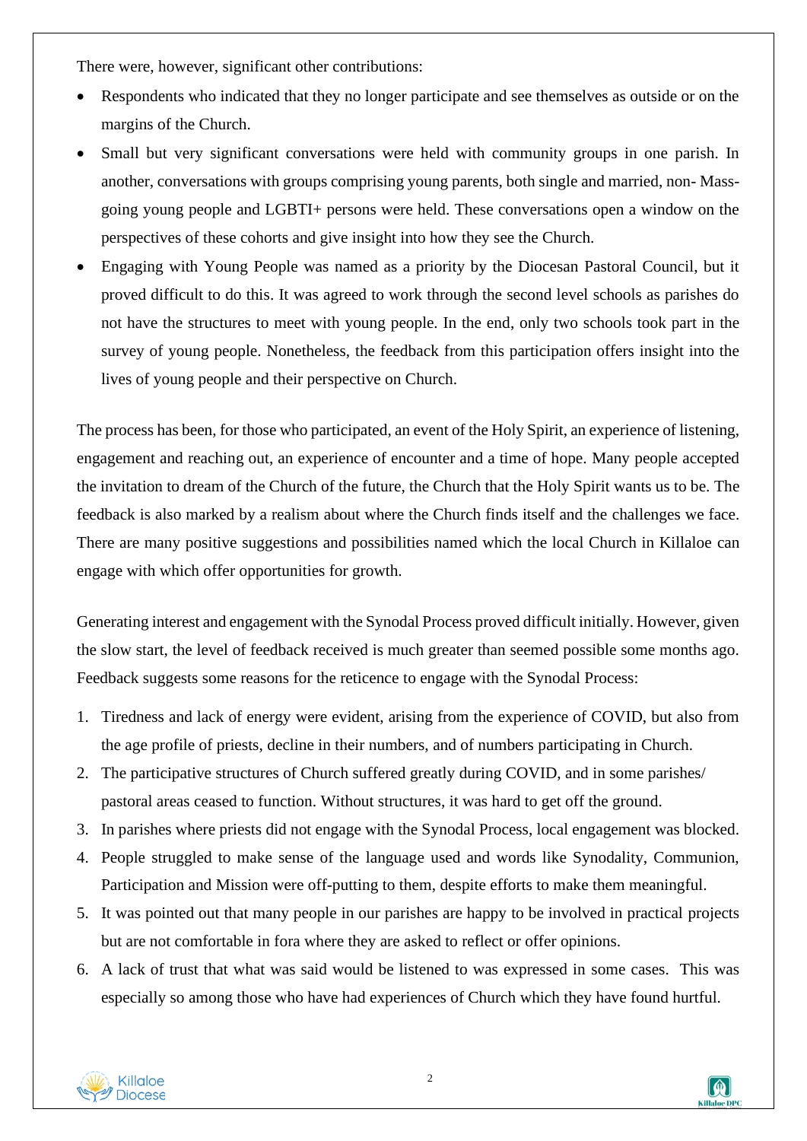There were, however, significant other contributions:

- Respondents who indicated that they no longer participate and see themselves as outside or on the margins of the Church.
- Small but very significant conversations were held with community groups in one parish. In another, conversations with groups comprising young parents, both single and married, non- Massgoing young people and LGBTI+ persons were held. These conversations open a window on the perspectives of these cohorts and give insight into how they see the Church.
- Engaging with Young People was named as a priority by the Diocesan Pastoral Council, but it proved difficult to do this. It was agreed to work through the second level schools as parishes do not have the structures to meet with young people. In the end, only two schools took part in the survey of young people. Nonetheless, the feedback from this participation offers insight into the lives of young people and their perspective on Church.

The process has been, for those who participated, an event of the Holy Spirit, an experience of listening, engagement and reaching out, an experience of encounter and a time of hope. Many people accepted the invitation to dream of the Church of the future, the Church that the Holy Spirit wants us to be. The feedback is also marked by a realism about where the Church finds itself and the challenges we face. There are many positive suggestions and possibilities named which the local Church in Killaloe can engage with which offer opportunities for growth.

Generating interest and engagement with the Synodal Process proved difficult initially. However, given the slow start, the level of feedback received is much greater than seemed possible some months ago. Feedback suggests some reasons for the reticence to engage with the Synodal Process:

- 1. Tiredness and lack of energy were evident, arising from the experience of COVID, but also from the age profile of priests, decline in their numbers, and of numbers participating in Church.
- 2. The participative structures of Church suffered greatly during COVID, and in some parishes/ pastoral areas ceased to function. Without structures, it was hard to get off the ground.
- 3. In parishes where priests did not engage with the Synodal Process, local engagement was blocked.
- 4. People struggled to make sense of the language used and words like Synodality, Communion, Participation and Mission were off-putting to them, despite efforts to make them meaningful.
- 5. It was pointed out that many people in our parishes are happy to be involved in practical projects but are not comfortable in fora where they are asked to reflect or offer opinions.
- 6. A lack of trust that what was said would be listened to was expressed in some cases. This was especially so among those who have had experiences of Church which they have found hurtful.



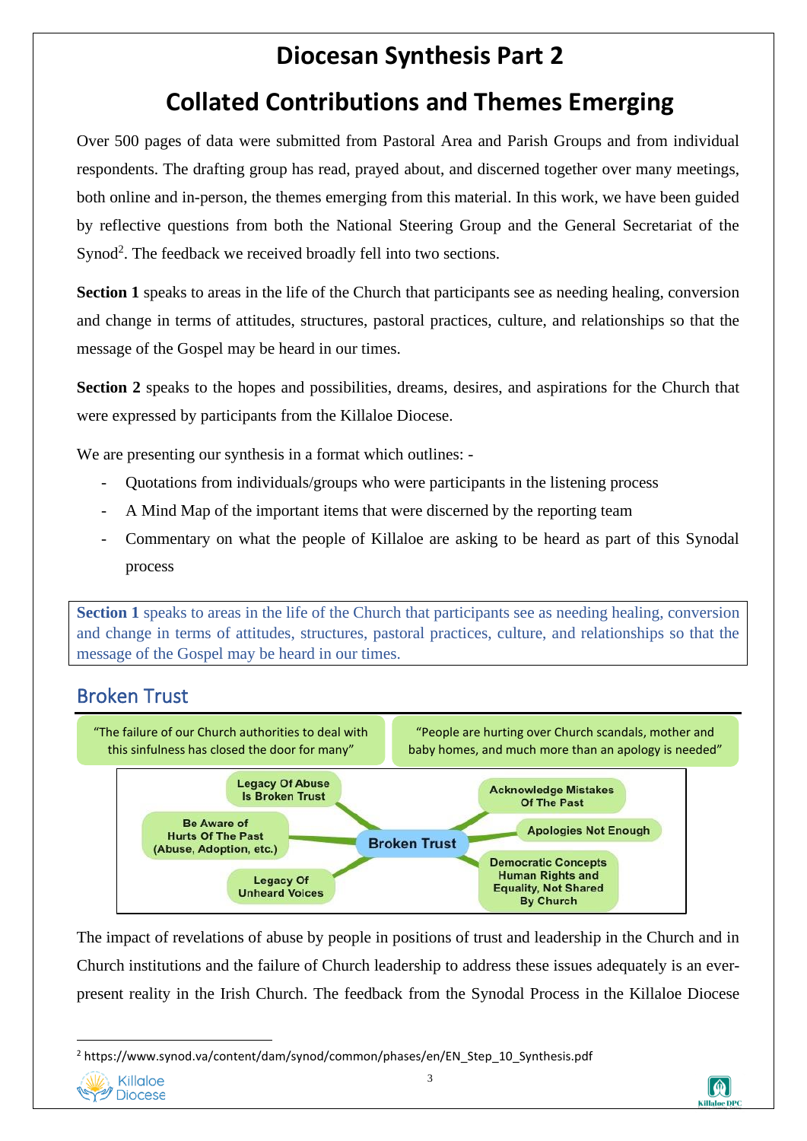## **Diocesan Synthesis Part 2**

## **Collated Contributions and Themes Emerging**

Over 500 pages of data were submitted from Pastoral Area and Parish Groups and from individual respondents. The drafting group has read, prayed about, and discerned together over many meetings, both online and in-person, the themes emerging from this material. In this work, we have been guided by reflective questions from both the National Steering Group and the General Secretariat of the Synod<sup>2</sup>. The feedback we received broadly fell into two sections.

**Section 1** speaks to areas in the life of the Church that participants see as needing healing, conversion and change in terms of attitudes, structures, pastoral practices, culture, and relationships so that the message of the Gospel may be heard in our times.

**Section 2** speaks to the hopes and possibilities, dreams, desires, and aspirations for the Church that were expressed by participants from the Killaloe Diocese.

We are presenting our synthesis in a format which outlines: -

- Quotations from individuals/groups who were participants in the listening process
- A Mind Map of the important items that were discerned by the reporting team
- Commentary on what the people of Killaloe are asking to be heard as part of this Synodal process

**Section 1** speaks to areas in the life of the Church that participants see as needing healing, conversion and change in terms of attitudes, structures, pastoral practices, culture, and relationships so that the message of the Gospel may be heard in our times.

#### Broken Trust



The impact of revelations of abuse by people in positions of trust and leadership in the Church and in Church institutions and the failure of Church leadership to address these issues adequately is an everpresent reality in the Irish Church. The feedback from the Synodal Process in the Killaloe Diocese

<sup>2</sup> https://www.synod.va/content/dam/synod/common/phases/en/EN\_Step\_10\_Synthesis.pdf



3

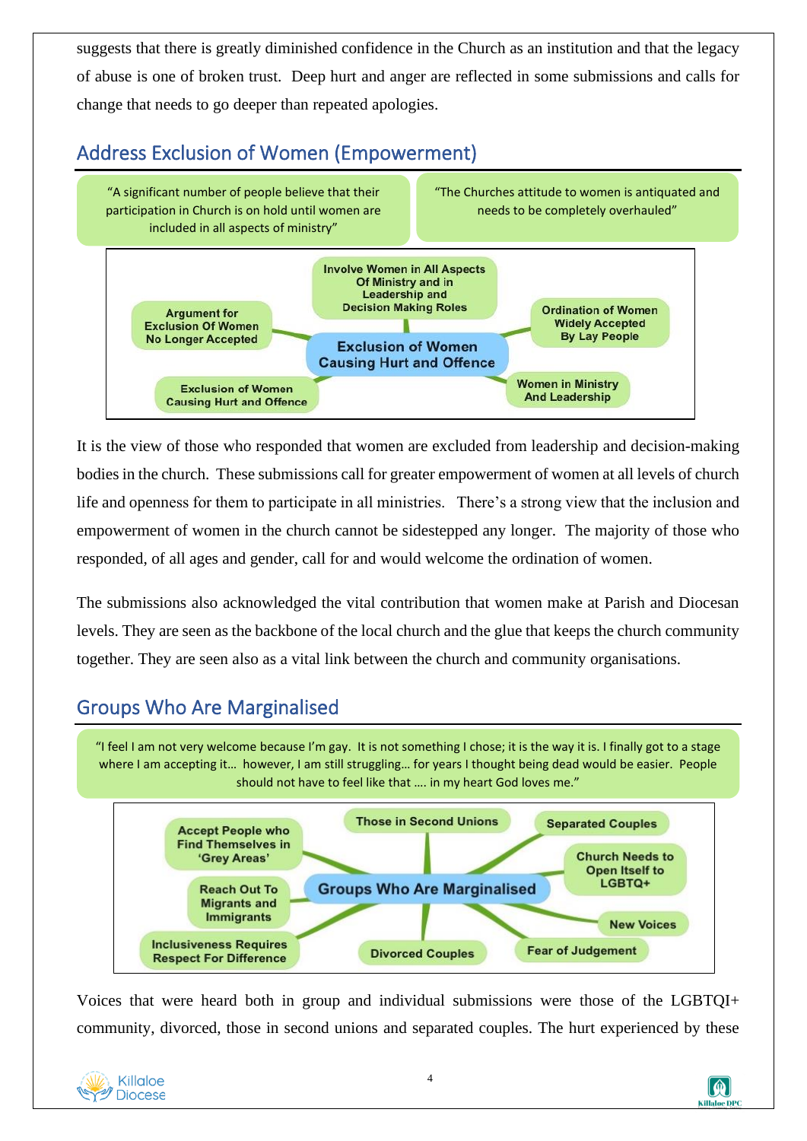suggests that there is greatly diminished confidence in the Church as an institution and that the legacy of abuse is one of broken trust. Deep hurt and anger are reflected in some submissions and calls for change that needs to go deeper than repeated apologies.

### Address Exclusion of Women (Empowerment)



It is the view of those who responded that women are excluded from leadership and decision-making bodies in the church. These submissions call for greater empowerment of women at all levels of church life and openness for them to participate in all ministries. There's a strong view that the inclusion and empowerment of women in the church cannot be sidestepped any longer. The majority of those who responded, of all ages and gender, call for and would welcome the ordination of women.

The submissions also acknowledged the vital contribution that women make at Parish and Diocesan levels. They are seen as the backbone of the local church and the glue that keeps the church community together. They are seen also as a vital link between the church and community organisations.

#### Groups Who Are Marginalised

"I feel I am not very welcome because I'm gay. It is not something I chose; it is the way it is. I finally got to a stage where I am accepting it… however, I am still struggling… for years I thought being dead would be easier. People should not have to feel like that …. in my heart God loves me."



Voices that were heard both in group and individual submissions were those of the LGBTQI+ community, divorced, those in second unions and separated couples. The hurt experienced by these



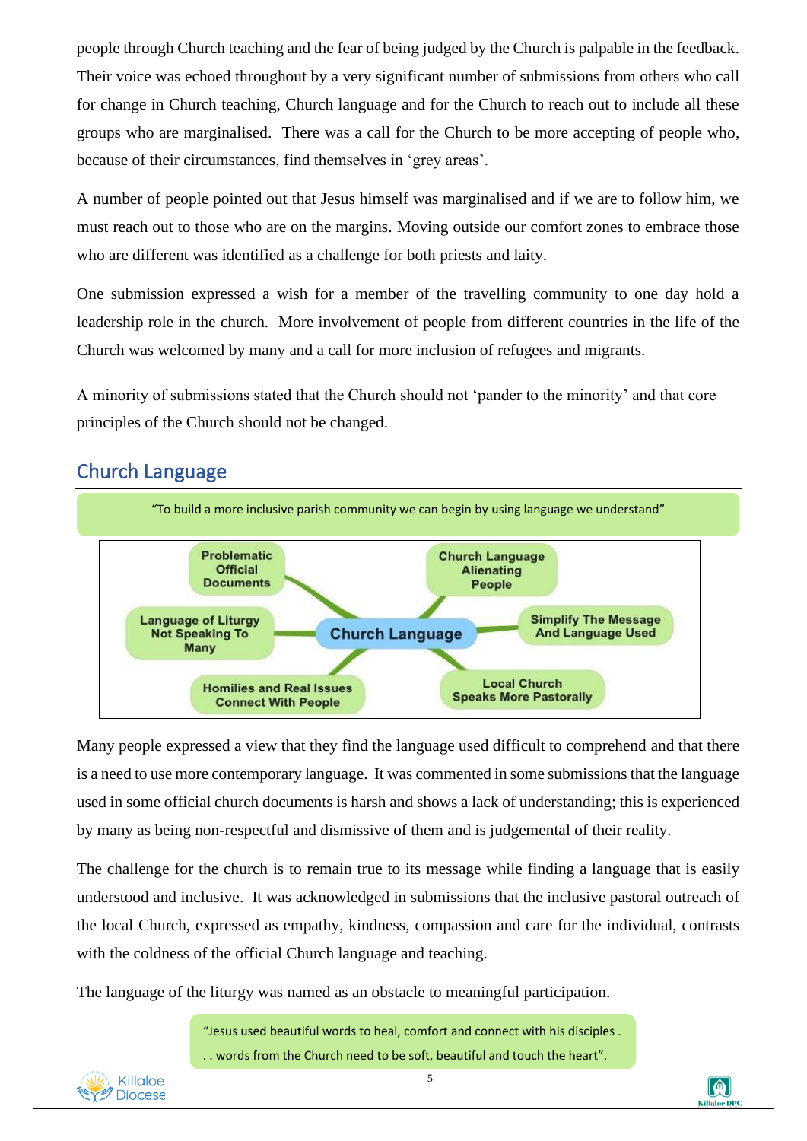people through Church teaching and the fear of being judged by the Church is palpable in the feedback. Their voice was echoed throughout by a very significant number of submissions from others who call for change in Church teaching, Church language and for the Church to reach out to include all these groups who are marginalised. There was a call for the Church to be more accepting of people who, because of their circumstances, find themselves in 'grey areas'.

A number of people pointed out that Jesus himself was marginalised and if we are to follow him, we must reach out to those who are on the margins. Moving outside our comfort zones to embrace those who are different was identified as a challenge for both priests and laity.

One submission expressed a wish for a member of the travelling community to one day hold a leadership role in the church. More involvement of people from different countries in the life of the Church was welcomed by many and a call for more inclusion of refugees and migrants.

A minority of submissions stated that the Church should not 'pander to the minority' and that core principles of the Church should not be changed.

#### Church Language



Many people expressed a view that they find the language used difficult to comprehend and that there is a need to use more contemporary language. It was commented in some submissions that the language used in some official church documents is harsh and shows a lack of understanding; this is experienced by many as being non-respectful and dismissive of them and is judgemental of their reality.

The challenge for the church is to remain true to its message while finding a language that is easily understood and inclusive. It was acknowledged in submissions that the inclusive pastoral outreach of the local Church, expressed as empathy, kindness, compassion and care for the individual, contrasts with the coldness of the official Church language and teaching.

The language of the liturgy was named as an obstacle to meaningful participation.

"Jesus used beautiful words to heal, comfort and connect with his disciples . . . words from the Church need to be soft, beautiful and touch the heart".



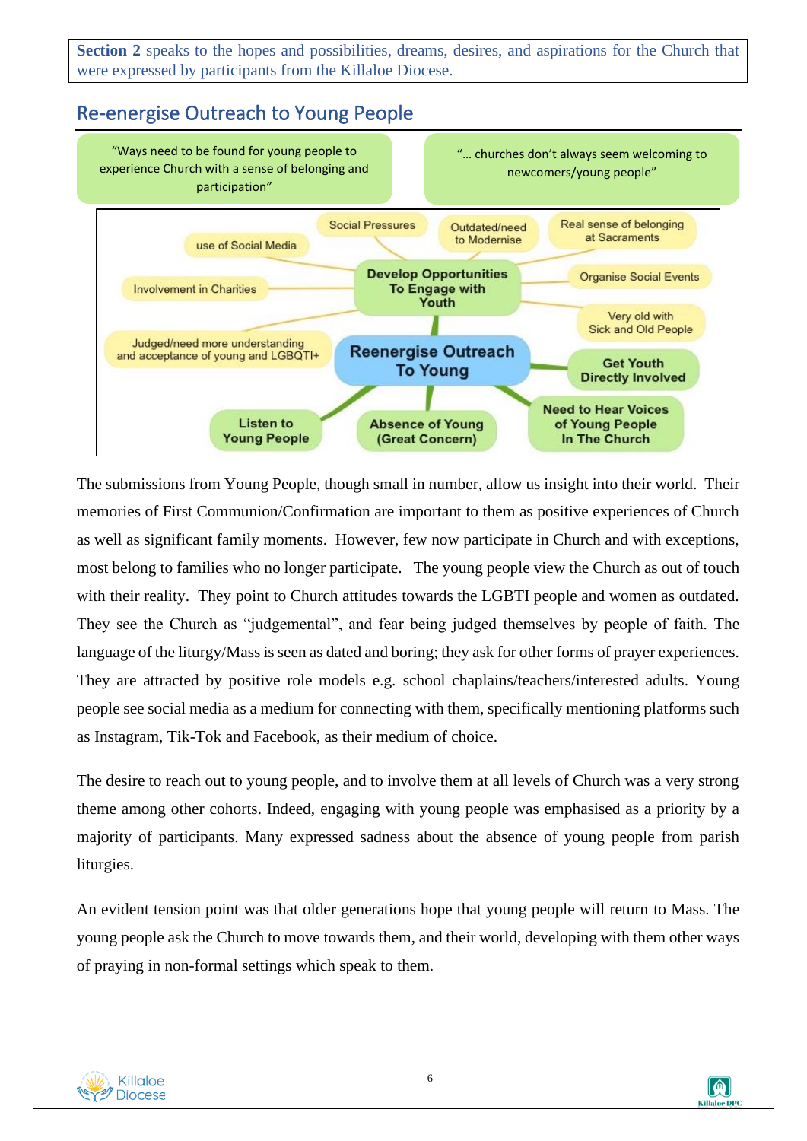**Section 2** speaks to the hopes and possibilities, dreams, desires, and aspirations for the Church that were expressed by participants from the Killaloe Diocese.

#### Re-energise Outreach to Young People



The submissions from Young People, though small in number, allow us insight into their world. Their memories of First Communion/Confirmation are important to them as positive experiences of Church as well as significant family moments. However, few now participate in Church and with exceptions, most belong to families who no longer participate. The young people view the Church as out of touch with their reality. They point to Church attitudes towards the LGBTI people and women as outdated. They see the Church as "judgemental", and fear being judged themselves by people of faith. The language of the liturgy/Mass is seen as dated and boring; they ask for other forms of prayer experiences. They are attracted by positive role models e.g. school chaplains/teachers/interested adults. Young people see social media as a medium for connecting with them, specifically mentioning platforms such as Instagram, Tik-Tok and Facebook, as their medium of choice.

The desire to reach out to young people, and to involve them at all levels of Church was a very strong theme among other cohorts. Indeed, engaging with young people was emphasised as a priority by a majority of participants. Many expressed sadness about the absence of young people from parish liturgies.

An evident tension point was that older generations hope that young people will return to Mass. The young people ask the Church to move towards them, and their world, developing with them other ways of praying in non-formal settings which speak to them.



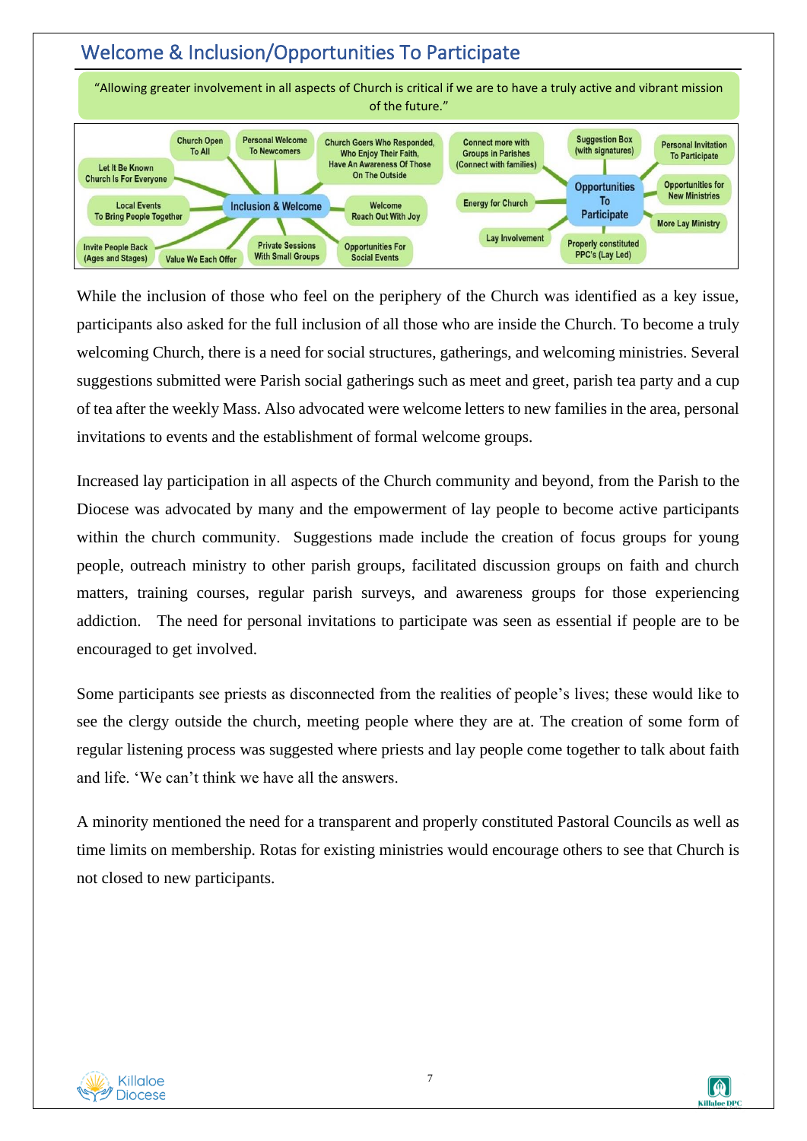#### Welcome & Inclusion/Opportunities To Participate



While the inclusion of those who feel on the periphery of the Church was identified as a key issue, participants also asked for the full inclusion of all those who are inside the Church. To become a truly welcoming Church, there is a need for social structures, gatherings, and welcoming ministries. Several suggestions submitted were Parish social gatherings such as meet and greet, parish tea party and a cup of tea after the weekly Mass. Also advocated were welcome letters to new families in the area, personal invitations to events and the establishment of formal welcome groups.

Increased lay participation in all aspects of the Church community and beyond, from the Parish to the Diocese was advocated by many and the empowerment of lay people to become active participants within the church community. Suggestions made include the creation of focus groups for young people, outreach ministry to other parish groups, facilitated discussion groups on faith and church matters, training courses, regular parish surveys, and awareness groups for those experiencing addiction. The need for personal invitations to participate was seen as essential if people are to be encouraged to get involved.

Some participants see priests as disconnected from the realities of people's lives; these would like to see the clergy outside the church, meeting people where they are at. The creation of some form of regular listening process was suggested where priests and lay people come together to talk about faith and life. 'We can't think we have all the answers.

A minority mentioned the need for a transparent and properly constituted Pastoral Councils as well as time limits on membership. Rotas for existing ministries would encourage others to see that Church is not closed to new participants.



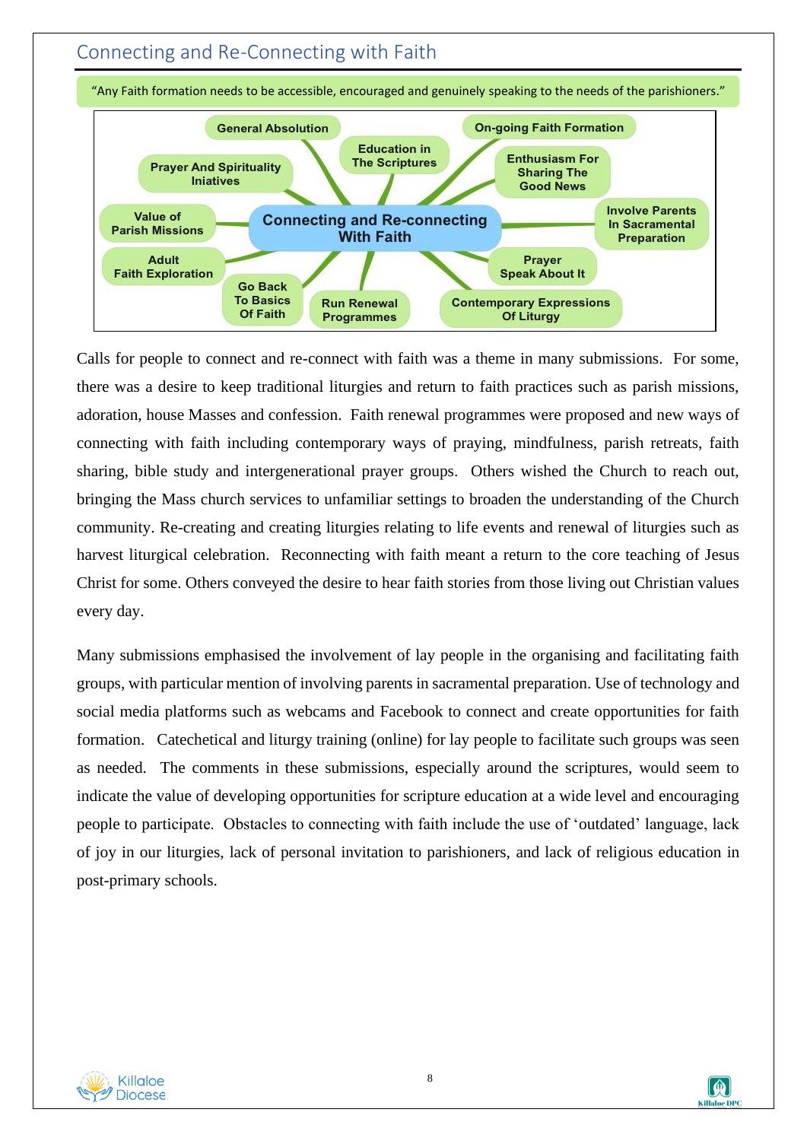#### Connecting and Re-Connecting with Faith



"Any Faith formation needs to be accessible, encouraged and genuinely speaking to the needs of the parishioners."

Calls for people to connect and re-connect with faith was a theme in many submissions. For some, there was a desire to keep traditional liturgies and return to faith practices such as parish missions, adoration, house Masses and confession. Faith renewal programmes were proposed and new ways of connecting with faith including contemporary ways of praying, mindfulness, parish retreats, faith sharing, bible study and intergenerational prayer groups. Others wished the Church to reach out, bringing the Mass church services to unfamiliar settings to broaden the understanding of the Church community. Re-creating and creating liturgies relating to life events and renewal of liturgies such as harvest liturgical celebration. Reconnecting with faith meant a return to the core teaching of Jesus Christ for some. Others conveyed the desire to hear faith stories from those living out Christian values every day.

Many submissions emphasised the involvement of lay people in the organising and facilitating faith groups, with particular mention of involving parents in sacramental preparation. Use of technology and social media platforms such as webcams and Facebook to connect and create opportunities for faith formation. Catechetical and liturgy training (online) for lay people to facilitate such groups was seen as needed. The comments in these submissions, especially around the scriptures, would seem to indicate the value of developing opportunities for scripture education at a wide level and encouraging people to participate. Obstacles to connecting with faith include the use of 'outdated' language, lack of joy in our liturgies, lack of personal invitation to parishioners, and lack of religious education in post-primary schools.



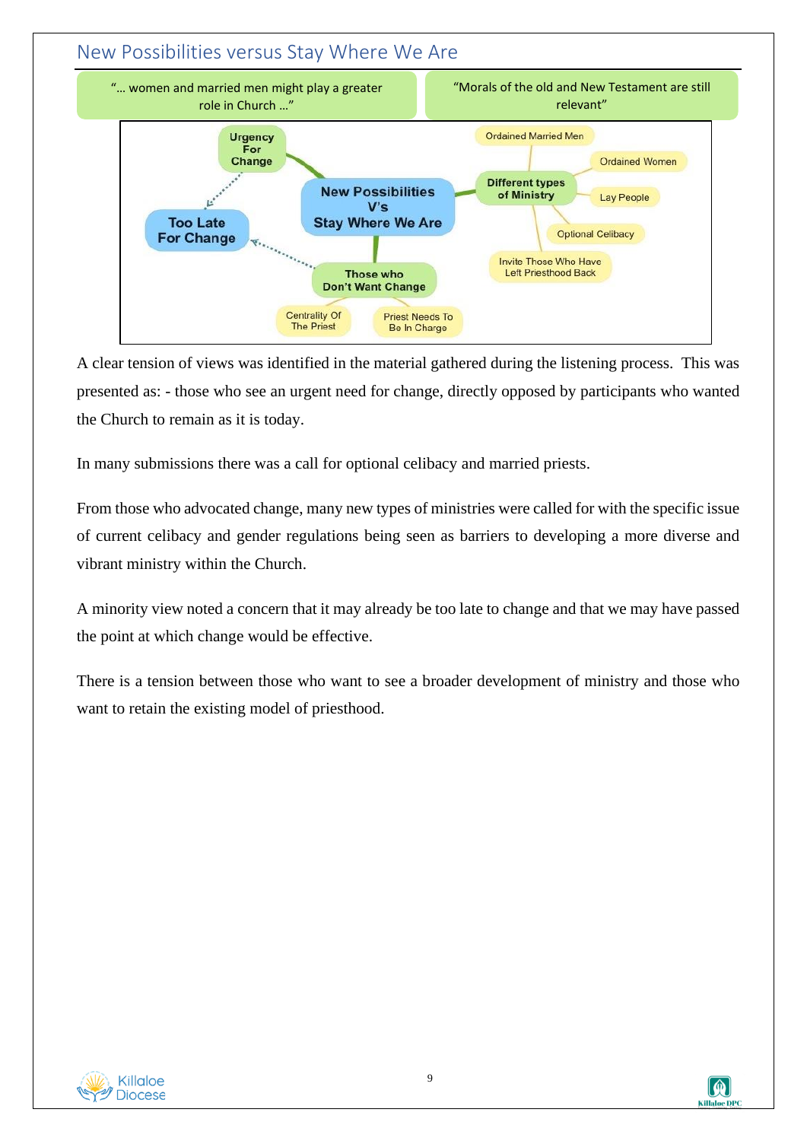

A clear tension of views was identified in the material gathered during the listening process. This was presented as: - those who see an urgent need for change, directly opposed by participants who wanted the Church to remain as it is today.

In many submissions there was a call for optional celibacy and married priests.

From those who advocated change, many new types of ministries were called for with the specific issue of current celibacy and gender regulations being seen as barriers to developing a more diverse and vibrant ministry within the Church.

A minority view noted a concern that it may already be too late to change and that we may have passed the point at which change would be effective.

There is a tension between those who want to see a broader development of ministry and those who want to retain the existing model of priesthood.



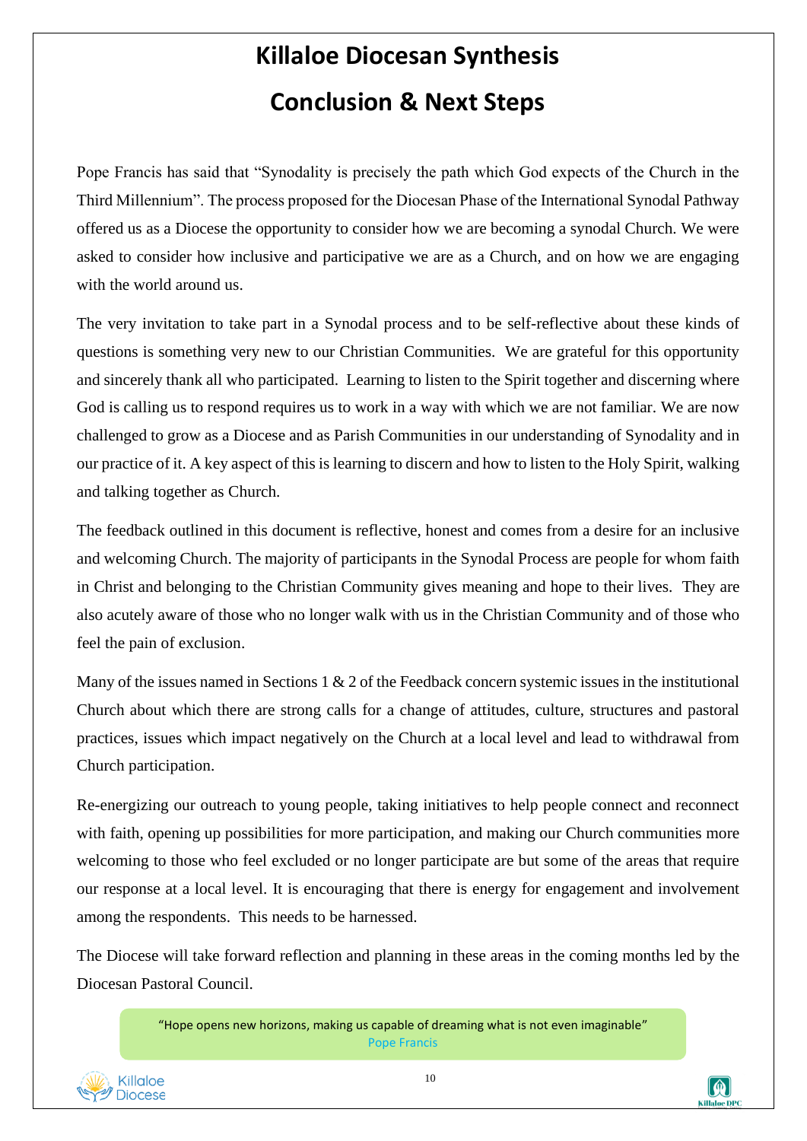# **Killaloe Diocesan Synthesis Conclusion & Next Steps**

Pope Francis has said that "Synodality is precisely the path which God expects of the Church in the Third Millennium". The process proposed for the Diocesan Phase of the International Synodal Pathway offered us as a Diocese the opportunity to consider how we are becoming a synodal Church. We were asked to consider how inclusive and participative we are as a Church, and on how we are engaging with the world around us.

The very invitation to take part in a Synodal process and to be self-reflective about these kinds of questions is something very new to our Christian Communities. We are grateful for this opportunity and sincerely thank all who participated. Learning to listen to the Spirit together and discerning where God is calling us to respond requires us to work in a way with which we are not familiar. We are now challenged to grow as a Diocese and as Parish Communities in our understanding of Synodality and in our practice of it. A key aspect of this is learning to discern and how to listen to the Holy Spirit, walking and talking together as Church.

The feedback outlined in this document is reflective, honest and comes from a desire for an inclusive and welcoming Church. The majority of participants in the Synodal Process are people for whom faith in Christ and belonging to the Christian Community gives meaning and hope to their lives. They are also acutely aware of those who no longer walk with us in the Christian Community and of those who feel the pain of exclusion.

Many of the issues named in Sections 1 & 2 of the Feedback concern systemic issues in the institutional Church about which there are strong calls for a change of attitudes, culture, structures and pastoral practices, issues which impact negatively on the Church at a local level and lead to withdrawal from Church participation.

Re-energizing our outreach to young people, taking initiatives to help people connect and reconnect with faith, opening up possibilities for more participation, and making our Church communities more welcoming to those who feel excluded or no longer participate are but some of the areas that require our response at a local level. It is encouraging that there is energy for engagement and involvement among the respondents. This needs to be harnessed.

The Diocese will take forward reflection and planning in these areas in the coming months led by the Diocesan Pastoral Council.

> "Hope opens new horizons, making us capable of dreaming what is not even imaginable" Pope Francis